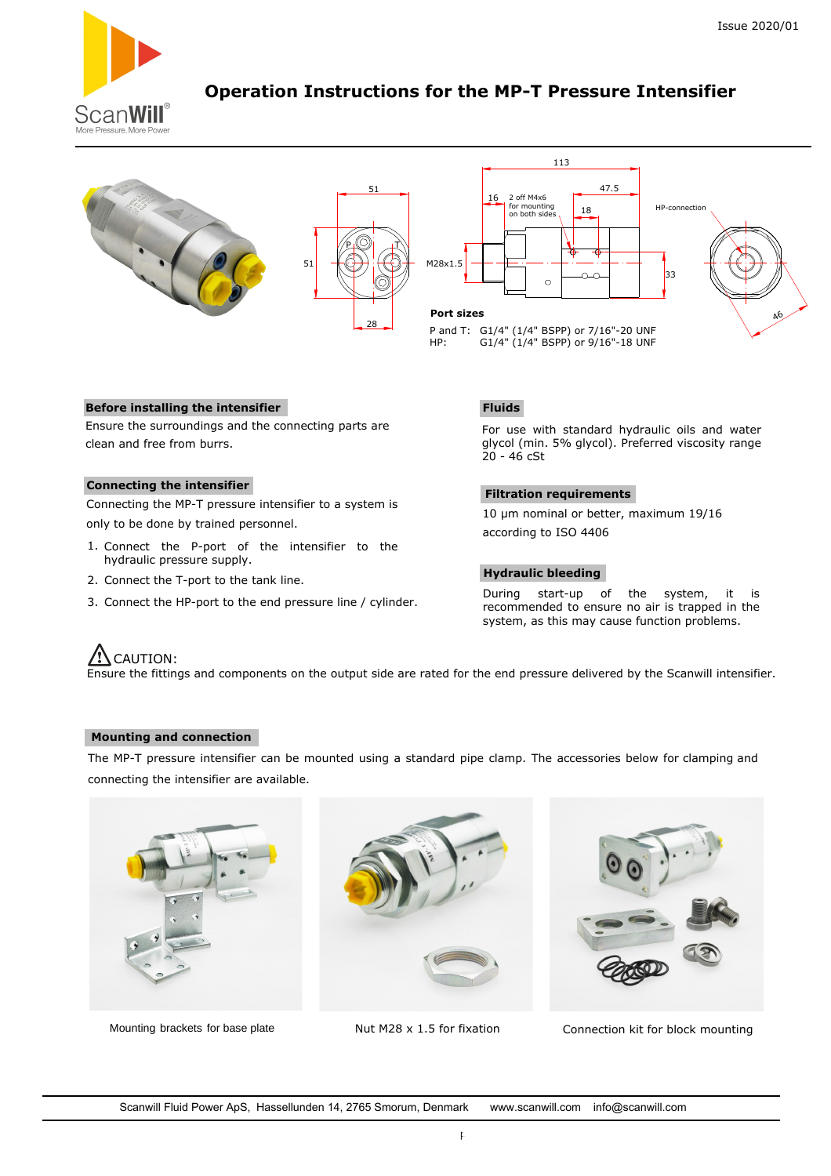

# **Operation Instructions for the MP-T Pressure Intensifier**





### **Before installing the intensifier**

Ensure the surroundings and the connecting parts are clean and free from burrs.

#### **Connecting the intensifier**

Connecting the MP-T pressure intensifier to a system is only to be done by trained personnel.

- 1. Connect the P-port of the intensifier to the hydraulic pressure supply.
- 2. Connect the T-port to the tank line.
- 3. Connect the HP-port to the end pressure line / cylinder.

### **Fluids**

For use with standard hydraulic oils and water glycol (min. 5% glycol). Preferred viscosity range 20 - 46 cSt

### **Filtration requirements**

10 µm nominal or better, maximum 19/16 according to ISO 4406

#### **Hydraulic bleeding**

During start-up of the system, it is recommended to ensure no air is trapped in the system, as this may cause function problems.

# **/!\** CAUTION:

Ensure the fittings and components on the output side are rated for the end pressure delivered by the Scanwill intensifier.

### **Mounting and connection**

The MP-T pressure intensifier can be mounted using a standard pipe clamp. The accessories below for clamping and connecting the intensifier are available.







Mounting brackets for base plate  $Nut M28 \times 1.5$  for fixation Connection kit for block mounting